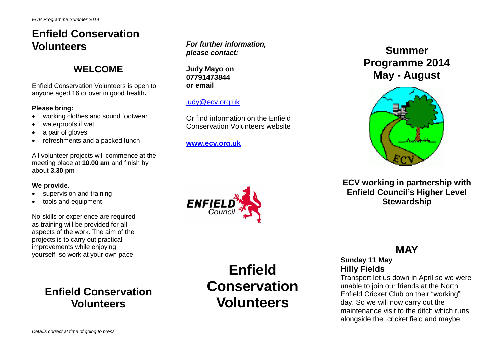## **Enfield Conservation Volunteers**

## **WELCOME**

Enfield Conservation Volunteers is open to anyone aged 16 or over in good health**.**

#### **Please bring:**

- working clothes and sound footwear
- waterproofs if wet
- a pair of gloves
- refreshments and a packed lunch

All volunteer projects will commence at the meeting place at **10.00 am** and finish by about **3.30 pm**

#### **We provide.**

- supervision and training
- tools and equipment

No skills or experience are required as training will be provided for all aspects of the work. The aim of the projects is to carry out practical improvements while enjoying yourself, so work at your own pace.

## **Enfield Conservation Volunteers**

*For further information, please contact:*

**Judy Mayo on 07791473844 or email**

## [judy@ecv.org.uk](mailto:judy@ecv.org.uk)

Or find information on the Enfield Conservation Volunteers website

#### **[www.ecv.org.uk](http://www.ecv.org.uk/)**

**Summer Programme 2014 May - August**



**ECV working in partnership with Enfield Council's Higher Level Stewardship**

## **MAY**

**Sunday 11 May Hilly Fields**

Transport let us down in April so we were unable to join our friends at the North Enfield Cricket Club on their "working" day. So we will now carry out the maintenance visit to the ditch which runs alongside the cricket field and maybe



**Enfield Conservation Volunteers**